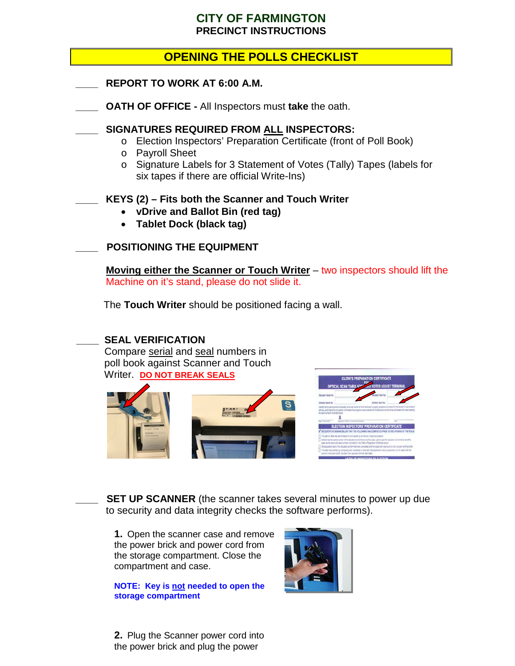### **CITY OF FARMINGTON PRECINCT INSTRUCTIONS**

## **OPENING THE POLLS CHECKLIST**

- **\_\_\_\_ REPORT TO WORK AT 6:00 A.M.**
- **\_\_\_\_ OATH OF OFFICE -** All Inspectors must **take** the oath.

#### **\_\_\_\_ SIGNATURES REQUIRED FROM ALL INSPECTORS:**

- o Election Inspectors' Preparation Certificate (front of Poll Book)
- o Payroll Sheet
- o Signature Labels for 3 Statement of Votes (Tally) Tapes (labels for six tapes if there are official Write-Ins)

#### **\_\_\_\_ KEYS (2) – Fits both the Scanner and Touch Writer**

- **vDrive and Ballot Bin (red tag)**
- **Tablet Dock (black tag)**

#### **\_\_\_\_ POSITIONING THE EQUIPMENT**

 **Moving either the Scanner or Touch Writer** – two inspectors should lift the Machine on it's stand, please do not slide it.

The **Touch Writer** should be positioned facing a wall.

#### **\_\_\_\_ SEAL VERIFICATION**

Compare serial and seal numbers in poll book against Scanner and Touch Writer. **DO NOT BREAK SEALS**





**SET UP SCANNER** (the scanner takes several minutes to power up due to security and data integrity checks the software performs).

**1.** Open the scanner case and remove the power brick and power cord from the storage compartment. Close the compartment and case.

**NOTE: Key is not needed to open the storage compartment**

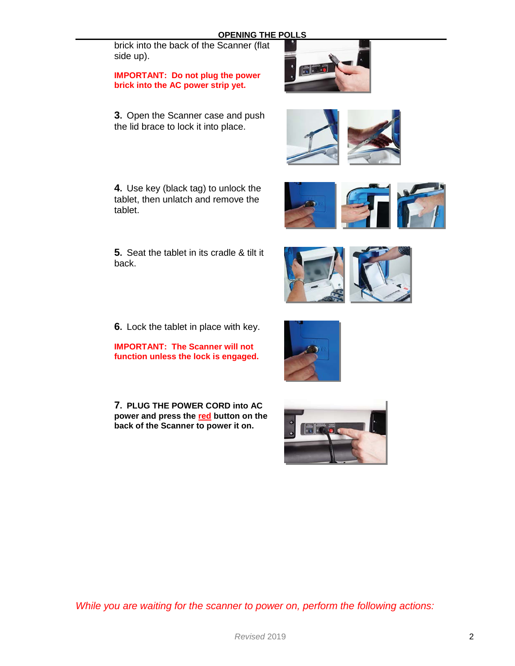# **OPENING THE POLLS**

brick into the back of the Scanner (flat side up).

**IMPORTANT: Do not plug the power brick into the AC power strip yet.**

**3.** Open the Scanner case and push the lid brace to lock it into place.

**4.** Use key (black tag) to unlock the tablet, then unlatch and remove the tablet.

**5.** Seat the tablet in its cradle & tilt it back.

**6.** Lock the tablet in place with key.

**IMPORTANT: The Scanner will not function unless the lock is engaged.**

**7. PLUG THE POWER CORD into AC power and press the red button on the back of the Scanner to power it on.**











I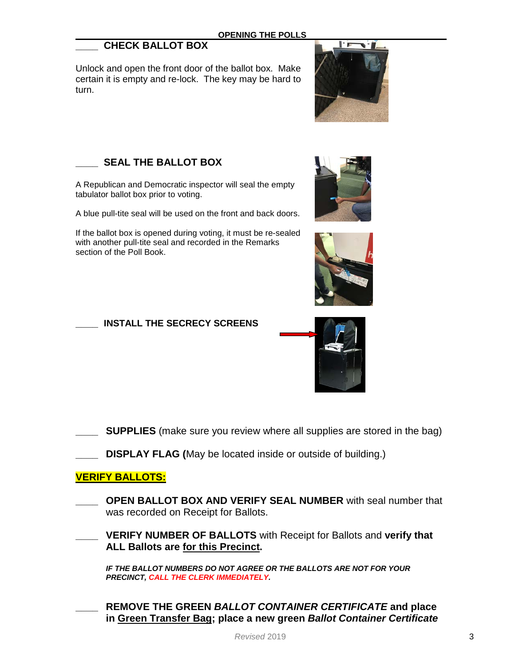#### **\_\_\_\_ CHECK BALLOT BOX**

Unlock and open the front door of the ballot box. Make certain it is empty and re-lock. The key may be hard to turn.





A Republican and Democratic inspector will seal the empty tabulator ballot box prior to voting.

A blue pull-tite seal will be used on the front and back doors.

If the ballot box is opened during voting, it must be re-sealed with another pull-tite seal and recorded in the Remarks section of the Poll Book.







**\_\_\_\_ INSTALL THE SECRECY SCREENS**

**SUPPLIES** (make sure you review where all supplies are stored in the bag)

**DISPLAY FLAG (May be located inside or outside of building.)** 

#### **VERIFY BALLOTS:**

- **OPEN BALLOT BOX AND VERIFY SEAL NUMBER** with seal number that was recorded on Receipt for Ballots.
- **\_\_\_\_ VERIFY NUMBER OF BALLOTS** with Receipt for Ballots and **verify that ALL Ballots are for this Precinct.**

*IF THE BALLOT NUMBERS DO NOT AGREE OR THE BALLOTS ARE NOT FOR YOUR PRECINCT, CALL THE CLERK IMMEDIATELY.*

**\_\_\_\_ REMOVE THE GREEN** *BALLOT CONTAINER CERTIFICATE* **and place in Green Transfer Bag; place a new green** *Ballot Container Certificate*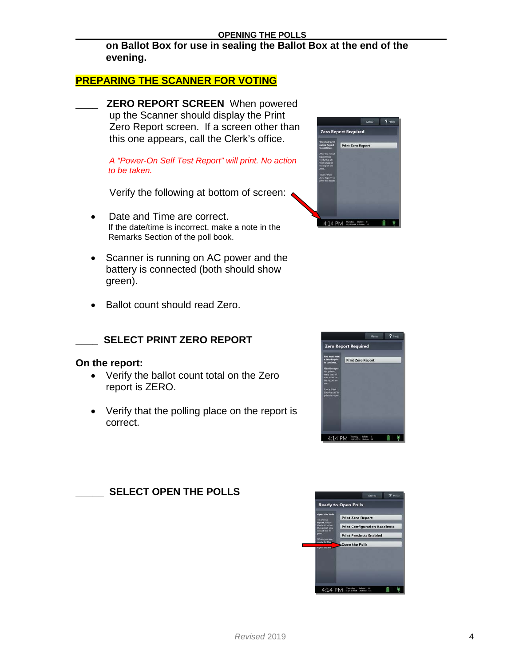**on Ballot Box for use in sealing the Ballot Box at the end of the evening.** 

#### **PREPARING THE SCANNER FOR VOTING**

\_\_\_\_ **ZERO REPORT SCREEN** When powered up the Scanner should display the Print Zero Report screen. If a screen other than this one appears, call the Clerk's office.

 *A "Power-On Self Test Report" will print. No action to be taken.*

Verify the following at bottom of screen:

- Date and Time are correct. If the date/time is incorrect, make a note in the Remarks Section of the poll book.
- Scanner is running on AC power and the battery is connected (both should show green).
- Ballot count should read Zero.



#### **\_\_\_\_ SELECT PRINT ZERO REPORT**

#### **On the report:**

- Verify the ballot count total on the Zero report is ZERO.
- Verify that the polling place on the report is correct.



#### **\_\_\_\_\_ SELECT OPEN THE POLLS**

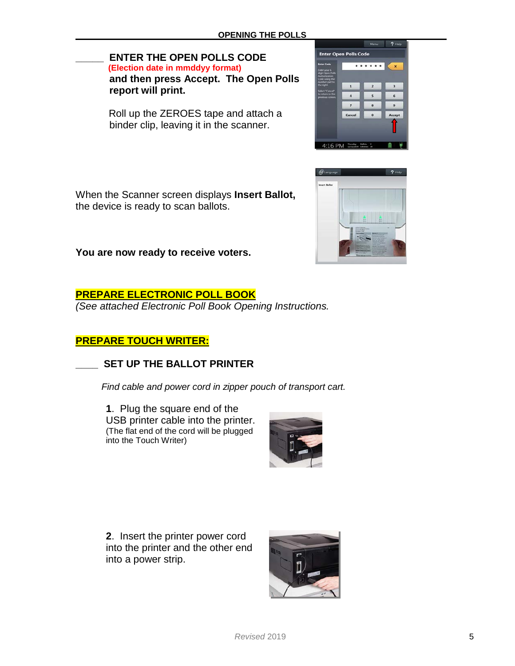# **ENTER THE OPEN POLLS CODE**<br>(Election date in mmddyy format)  **and then press Accept. The Open Polls report will print.**

Roll up the ZEROES tape and attach a binder clip, leaving it in the scanner.

 $2He$ 

 $6\phantom{a}$ 

 $\overline{9}$ Accept

**Enter Open Polls Code** 

 $\ddot{a}$ 

 $\overline{ }$ 

Cancel

 $4:16$  PM  $\frac{\text{Bessel} - \text{Bolic} - 0}{\text{DSTL2004}}$ 

 $\overline{\cdots}$ 

 $\overline{2}$ 

 $\overline{\phantom{a}}$ 

 $\bf{8}$ 

 $\bullet$ 

**You are now ready to receive voters.**

the device is ready to scan ballots.

When the Scanner screen displays **Insert Ballot,** 

#### **PREPARE ELECTRONIC POLL BOOK**

*(See attached Electronic Poll Book Opening Instructions.*

#### **PREPARE TOUCH WRITER:**

#### **\_\_\_\_ SET UP THE BALLOT PRINTER**

 *Find cable and power cord in zipper pouch of transport cart.*

**1**. Plug the square end of the USB printer cable into the printer. (The flat end of the cord will be plugged into the Touch Writer)



**2**. Insert the printer power cord into the printer and the other end into a power strip.

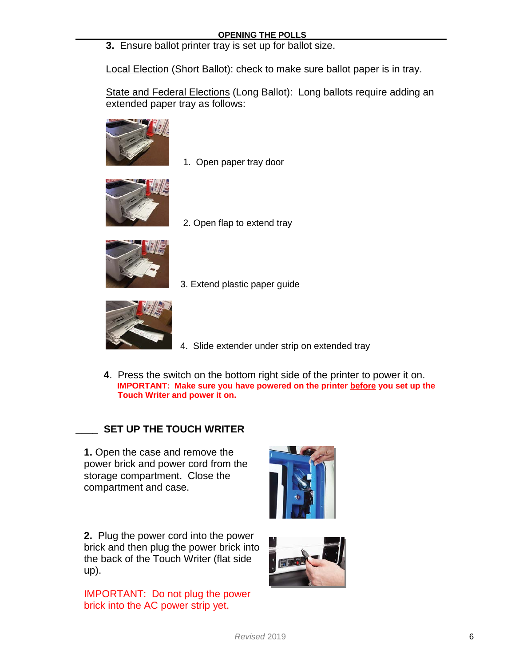**3.** Ensure ballot printer tray is set up for ballot size.

Local Election (Short Ballot): check to make sure ballot paper is in tray.

State and Federal Elections (Long Ballot): Long ballots require adding an extended paper tray as follows:



1. Open paper tray door



2. Open flap to extend tray





- 3. Extend plastic paper guide
- 4. Slide extender under strip on extended tray
- **4**. Press the switch on the bottom right side of the printer to power it on. **IMPORTANT: Make sure you have powered on the printer before you set up the Touch Writer and power it on.**

#### **\_\_\_\_ SET UP THE TOUCH WRITER**

**1.** Open the case and remove the power brick and power cord from the storage compartment. Close the compartment and case.



**2.** Plug the power cord into the power brick and then plug the power brick into the back of the Touch Writer (flat side up).

IMPORTANT: Do not plug the power brick into the AC power strip yet.

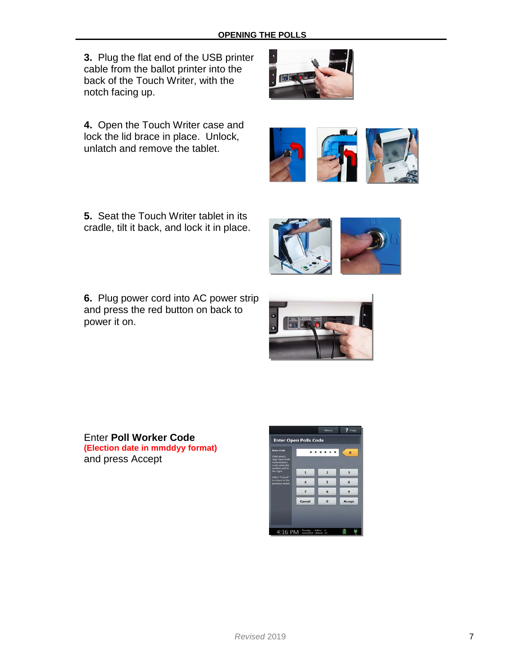**3.** Plug the flat end of the USB printer cable from the ballot printer into the back of the Touch Writer, with the notch facing up.

**4.** Open the Touch Writer case and lock the lid brace in place. Unlock, unlatch and remove the tablet.

**5.** Seat the Touch Writer tablet in its cradle, tilt it back, and lock it in place.

**6.** Plug power cord into AC power strip and press the red button on back to power it on.

Enter **Poll Worker Code (Election date in mmddyy format)** and press Accept